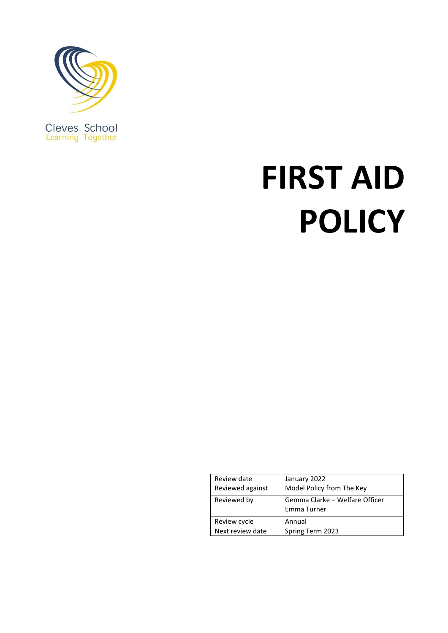

**FIRST AID POLICY**

| Review date<br>Reviewed against | January 2022<br>Model Policy from The Key     |
|---------------------------------|-----------------------------------------------|
| Reviewed by                     | Gemma Clarke - Welfare Officer<br>Emma Turner |
| Review cycle                    | Annual                                        |
| Next review date                | Spring Term 2023                              |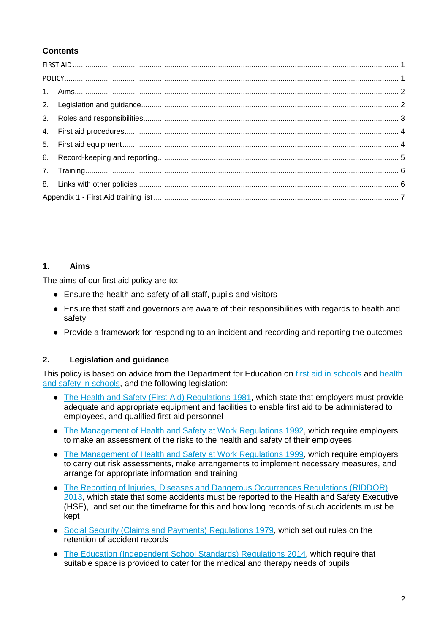# **Contents**

## **1. Aims**

The aims of our first aid policy are to:

- Ensure the health and safety of all staff, pupils and visitors
- Ensure that staff and governors are aware of their responsibilities with regards to health and safety
- Provide a framework for responding to an incident and recording and reporting the outcomes

# **2. Legislation and guidance**

This policy is based on advice from the Department for Education on [first aid in schools](https://www.gov.uk/government/publications/first-aid-in-schools) and health [and safety in schools,](https://www.gov.uk/government/publications/health-and-safety-advice-for-schools) and the following legislation:

- [The Health and Safety \(First Aid\) Regulations 1981,](http://www.legislation.gov.uk/uksi/1981/917/regulation/3/made) which state that employers must provide adequate and appropriate equipment and facilities to enable first aid to be administered to employees, and qualified first aid personnel
- [The Management of Health and Safety at Work Regulations 1992,](http://www.legislation.gov.uk/uksi/1992/2051/regulation/3/made) which require employers to make an assessment of the risks to the health and safety of their employees
- [The Management of Health and Safety at Work Regulations 1999,](http://www.legislation.gov.uk/uksi/1999/3242/contents/made) which require employers to carry out risk assessments, make arrangements to implement necessary measures, and arrange for appropriate information and training
- [The Reporting of Injuries, Diseases and Dangerous Occurrences Regulations \(RIDDOR\)](http://www.legislation.gov.uk/uksi/2013/1471/schedule/1/paragraph/1/made)  [2013,](http://www.legislation.gov.uk/uksi/2013/1471/schedule/1/paragraph/1/made) which state that some accidents must be reported to the Health and Safety Executive (HSE), and set out the timeframe for this and how long records of such accidents must be kept
- [Social Security \(Claims and Payments\) Regulations 1979,](http://www.legislation.gov.uk/uksi/1979/628) which set out rules on the retention of accident records
- [The Education \(Independent School Standards\) Regulations 2014,](http://www.legislation.gov.uk/uksi/2014/3283/schedule/made) which require that suitable space is provided to cater for the medical and therapy needs of pupils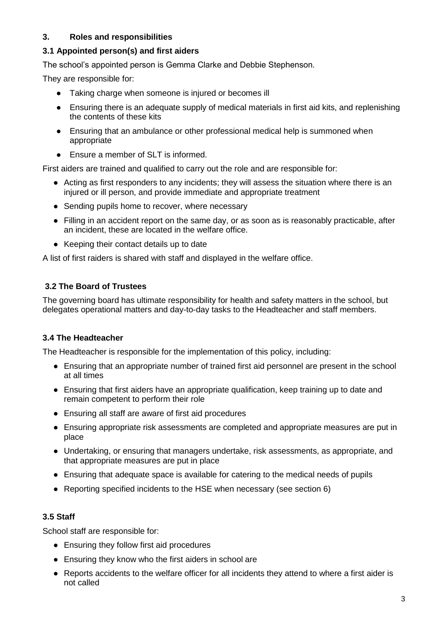## **3. Roles and responsibilities**

#### **3.1 Appointed person(s) and first aiders**

The school's appointed person is Gemma Clarke and Debbie Stephenson.

They are responsible for:

- Taking charge when someone is injured or becomes ill
- Ensuring there is an adequate supply of medical materials in first aid kits, and replenishing the contents of these kits
- Ensuring that an ambulance or other professional medical help is summoned when appropriate
- Ensure a member of SLT is informed.

First aiders are trained and qualified to carry out the role and are responsible for:

- Acting as first responders to any incidents; they will assess the situation where there is an injured or ill person, and provide immediate and appropriate treatment
- Sending pupils home to recover, where necessary
- Filling in an accident report on the same day, or as soon as is reasonably practicable, after an incident, these are located in the welfare office.
- Keeping their contact details up to date

A list of first raiders is shared with staff and displayed in the welfare office.

## **3.2 The Board of Trustees**

The governing board has ultimate responsibility for health and safety matters in the school, but delegates operational matters and day-to-day tasks to the Headteacher and staff members.

## **3.4 The Headteacher**

The Headteacher is responsible for the implementation of this policy, including:

- Ensuring that an appropriate number of trained first aid personnel are present in the school at all times
- Ensuring that first aiders have an appropriate qualification, keep training up to date and remain competent to perform their role
- Ensuring all staff are aware of first aid procedures
- Ensuring appropriate risk assessments are completed and appropriate measures are put in place
- Undertaking, or ensuring that managers undertake, risk assessments, as appropriate, and that appropriate measures are put in place
- Ensuring that adequate space is available for catering to the medical needs of pupils
- Reporting specified incidents to the HSE when necessary (see section 6)

## **3.5 Staff**

School staff are responsible for:

- Ensuring they follow first aid procedures
- Ensuring they know who the first aiders in school are
- Reports accidents to the welfare officer for all incidents they attend to where a first aider is not called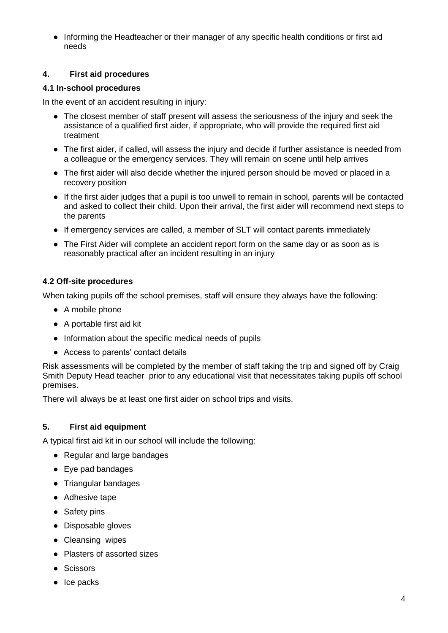● Informing the Headteacher or their manager of any specific health conditions or first aid needs

## **4. First aid procedures**

#### **4.1 In-school procedures**

In the event of an accident resulting in injury:

- The closest member of staff present will assess the seriousness of the injury and seek the assistance of a qualified first aider, if appropriate, who will provide the required first aid treatment
- The first aider, if called, will assess the injury and decide if further assistance is needed from a colleague or the emergency services. They will remain on scene until help arrives
- The first aider will also decide whether the injured person should be moved or placed in a recovery position
- If the first aider judges that a pupil is too unwell to remain in school, parents will be contacted and asked to collect their child. Upon their arrival, the first aider will recommend next steps to the parents
- If emergency services are called, a member of SLT will contact parents immediately
- The First Aider will complete an accident report form on the same day or as soon as is reasonably practical after an incident resulting in an injury

#### **4.2 Off-site procedures**

When taking pupils off the school premises, staff will ensure they always have the following:

- A mobile phone
- A portable first aid kit
- Information about the specific medical needs of pupils
- Access to parents' contact details

Risk assessments will be completed by the member of staff taking the trip and signed off by Craig Smith Deputy Head teacher prior to any educational visit that necessitates taking pupils off school premises.

There will always be at least one first aider on school trips and visits.

## **5. First aid equipment**

A typical first aid kit in our school will include the following:

- Regular and large bandages
- Eye pad bandages
- Triangular bandages
- Adhesive tape
- Safety pins
- Disposable gloves
- Cleansing wipes
- Plasters of assorted sizes
- Scissors
- Ice packs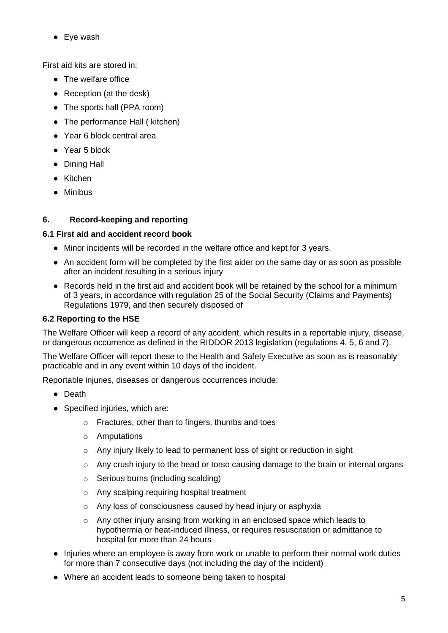● Eye wash

First aid kits are stored in:

- The welfare office
- Reception (at the desk)
- The sports hall (PPA room)
- The performance Hall ( kitchen)
- Year 6 block central area
- Year 5 block
- Dining Hall
- Kitchen
- Minibus

# **6. Record-keeping and reporting**

# **6.1 First aid and accident record book**

- Minor incidents will be recorded in the welfare office and kept for 3 years.
- An accident form will be completed by the first aider on the same day or as soon as possible after an incident resulting in a serious injury
- Records held in the first aid and accident book will be retained by the school for a minimum of 3 years, in accordance with regulation 25 of the Social Security (Claims and Payments) Regulations 1979, and then securely disposed of

# **6.2 Reporting to the HSE**

The Welfare Officer will keep a record of any accident, which results in a reportable injury, disease, or dangerous occurrence as defined in the RIDDOR 2013 legislation (regulations 4, 5, 6 and 7).

The Welfare Officer will report these to the Health and Safety Executive as soon as is reasonably practicable and in any event within 10 days of the incident.

Reportable injuries, diseases or dangerous occurrences include:

- Death
- Specified injuries, which are:
	- o Fractures, other than to fingers, thumbs and toes
	- o Amputations
	- o Any injury likely to lead to permanent loss of sight or reduction in sight
	- o Any crush injury to the head or torso causing damage to the brain or internal organs
	- o Serious burns (including scalding)
	- o Any scalping requiring hospital treatment
	- o Any loss of consciousness caused by head injury or asphyxia
	- o Any other injury arising from working in an enclosed space which leads to hypothermia or heat-induced illness, or requires resuscitation or admittance to hospital for more than 24 hours
- Injuries where an employee is away from work or unable to perform their normal work duties for more than 7 consecutive days (not including the day of the incident)
- Where an accident leads to someone being taken to hospital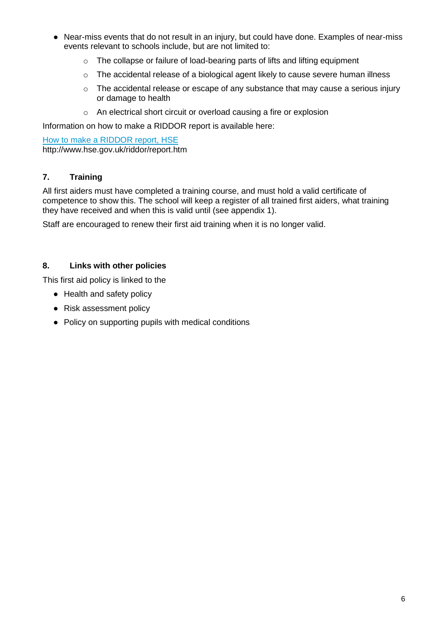- Near-miss events that do not result in an injury, but could have done. Examples of near-miss events relevant to schools include, but are not limited to:
	- o The collapse or failure of load-bearing parts of lifts and lifting equipment
	- o The accidental release of a biological agent likely to cause severe human illness
	- o The accidental release or escape of any substance that may cause a serious injury or damage to health
	- o An electrical short circuit or overload causing a fire or explosion

Information on how to make a RIDDOR report is available here:

[How to make a RIDDOR report, HSE](http://www.hse.gov.uk/riddor/report.htm) http://www.hse.gov.uk/riddor/report.htm

# **7. Training**

All first aiders must have completed a training course, and must hold a valid certificate of competence to show this. The school will keep a register of all trained first aiders, what training they have received and when this is valid until (see appendix 1).

Staff are encouraged to renew their first aid training when it is no longer valid.

## **8. Links with other policies**

This first aid policy is linked to the

- Health and safety policy
- Risk assessment policy
- Policy on supporting pupils with medical conditions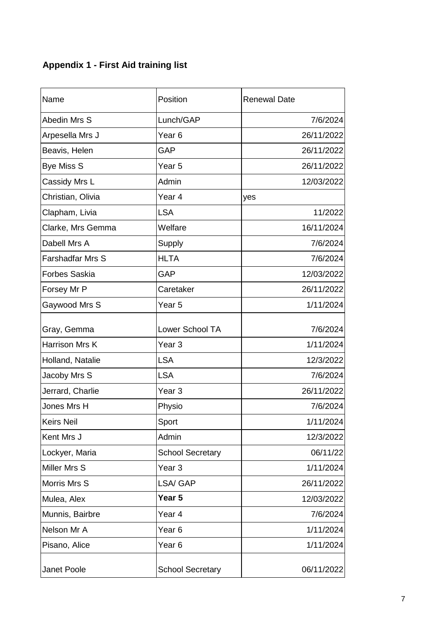# **Appendix 1 - First Aid training list**

| Name                    | Position                | <b>Renewal Date</b> |
|-------------------------|-------------------------|---------------------|
| Abedin Mrs S            | Lunch/GAP               | 7/6/2024            |
| Arpesella Mrs J         | Year <sub>6</sub>       | 26/11/2022          |
| Beavis, Helen           | <b>GAP</b>              | 26/11/2022          |
| <b>Bye Miss S</b>       | Year <sub>5</sub>       | 26/11/2022          |
| Cassidy Mrs L           | Admin                   | 12/03/2022          |
| Christian, Olivia       | Year 4                  | yes                 |
| Clapham, Livia          | <b>LSA</b>              | 11/2022             |
| Clarke, Mrs Gemma       | Welfare                 | 16/11/2024          |
| Dabell Mrs A            | Supply                  | 7/6/2024            |
| <b>Farshadfar Mrs S</b> | <b>HLTA</b>             | 7/6/2024            |
| <b>Forbes Saskia</b>    | GAP                     | 12/03/2022          |
| Forsey Mr P             | Caretaker               | 26/11/2022          |
| Gaywood Mrs S           | Year <sub>5</sub>       | 1/11/2024           |
| Gray, Gemma             | Lower School TA         | 7/6/2024            |
| Harrison Mrs K          | Year <sub>3</sub>       | 1/11/2024           |
| Holland, Natalie        | <b>LSA</b>              | 12/3/2022           |
| Jacoby Mrs S            | <b>LSA</b>              | 7/6/2024            |
| Jerrard, Charlie        | Year <sub>3</sub>       | 26/11/2022          |
| Jones Mrs H             | Physio                  | 7/6/2024            |
| <b>Keirs Neil</b>       | Sport                   | 1/11/2024           |
| Kent Mrs J              | Admin                   | 12/3/2022           |
| Lockyer, Maria          | <b>School Secretary</b> | 06/11/22            |
| Miller Mrs S            | Year <sub>3</sub>       | 1/11/2024           |
| Morris Mrs S            | LSA/ GAP                | 26/11/2022          |
| Mulea, Alex             | Year 5                  | 12/03/2022          |
| Munnis, Bairbre         | Year 4                  | 7/6/2024            |
| Nelson Mr A             | Year <sub>6</sub>       | 1/11/2024           |
| Pisano, Alice           | Year <sub>6</sub>       | 1/11/2024           |
| Janet Poole             | <b>School Secretary</b> | 06/11/2022          |